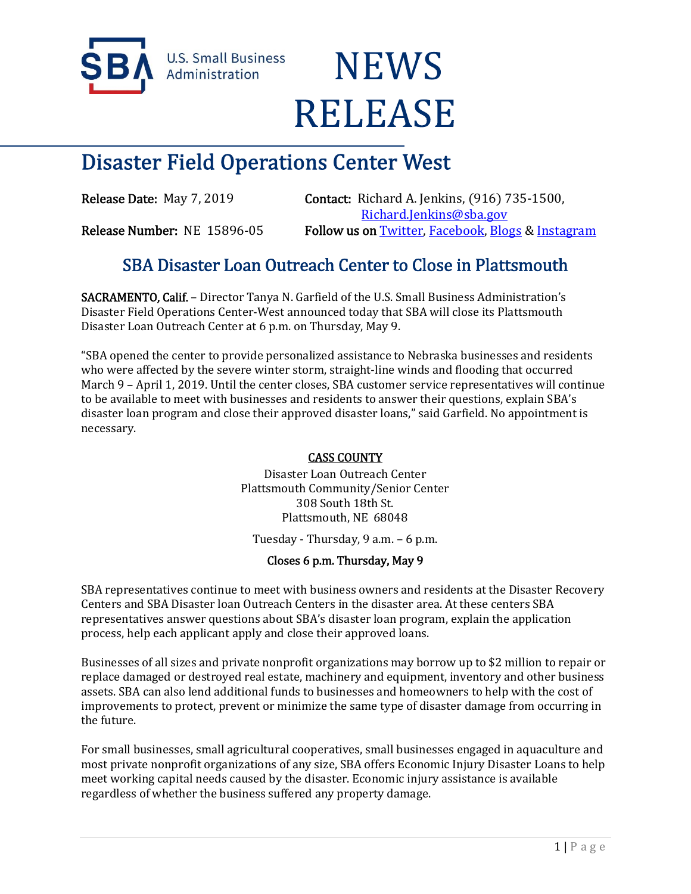

**U.S. Small Business** Administration

# **NEWS RELEASE**

## Disaster Field Operations Center West

Release Date: May 7, 2019 Contact: Richard A. Jenkins, (916) 735-1500, Richard.Jenkins@sba.gov Release Number: NE 15896-05 Follow us on Twitter, Facebook, Blogs & Instagram

### SBA Disaster Loan Outreach Center to Close in Plattsmouth

SACRAMENTO, Calif. – Director Tanya N. Garfield of the U.S. Small Business Administration's Disaster Field Operations Center-West announced today that SBA will close its Plattsmouth Disaster Loan Outreach Center at 6 p.m. on Thursday, May 9.

"SBA opened the center to provide personalized assistance to Nebraska businesses and residents who were affected by the severe winter storm, straight-line winds and flooding that occurred March 9 – April 1, 2019. Until the center closes, SBA customer service representatives will continue to be available to meet with businesses and residents to answer their questions, explain SBA's disaster loan program and close their approved disaster loans," said Garfield. No appointment is necessary.

#### CASS COUNTY

Disaster Loan Outreach Center Plattsmouth Community/Senior Center 308 South 18th St. Plattsmouth, NE 68048

Tuesday - Thursday, 9 a.m. – 6 p.m.

#### Closes 6 p.m. Thursday, May 9

SBA representatives continue to meet with business owners and residents at the Disaster Recovery Centers and SBA Disaster loan Outreach Centers in the disaster area. At these centers SBA representatives answer questions about SBA's disaster loan program, explain the application process, help each applicant apply and close their approved loans.

Businesses of all sizes and private nonprofit organizations may borrow up to \$2 million to repair or replace damaged or destroyed real estate, machinery and equipment, inventory and other business assets. SBA can also lend additional funds to businesses and homeowners to help with the cost of improvements to protect, prevent or minimize the same type of disaster damage from occurring in the future.

For small businesses, small agricultural cooperatives, small businesses engaged in aquaculture and most private nonprofit organizations of any size, SBA offers Economic Injury Disaster Loans to help meet working capital needs caused by the disaster. Economic injury assistance is available regardless of whether the business suffered any property damage.